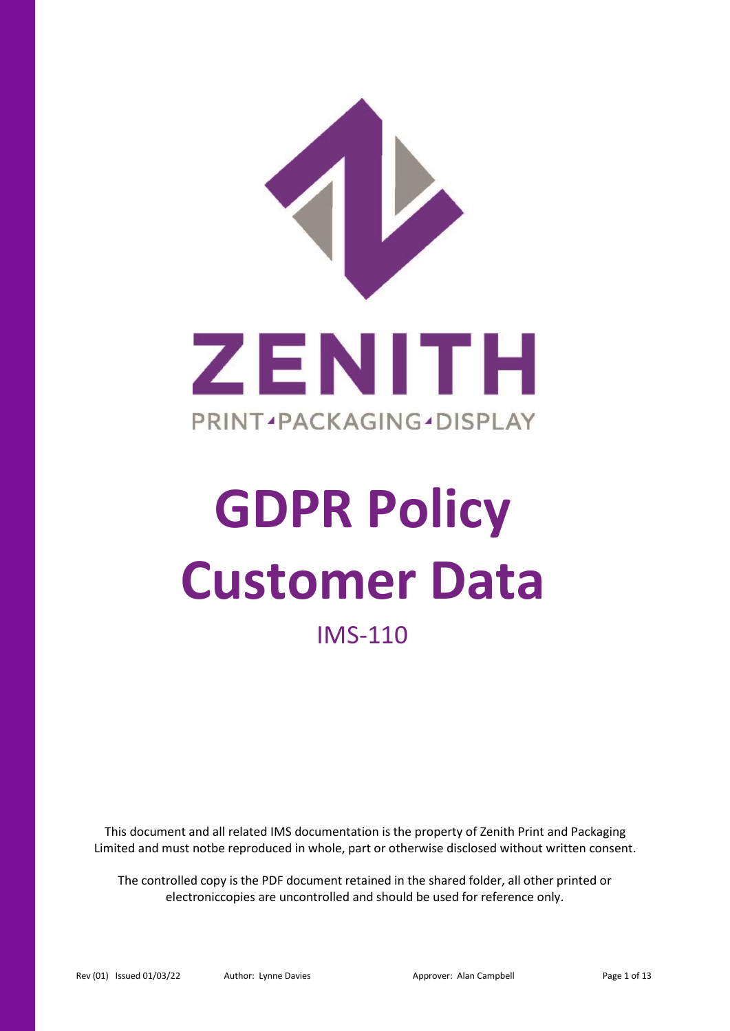

# **GDPR Policy Customer Data**

# IMS-110

This document and all related IMS documentation is the property of Zenith Print and Packaging Limited and must notbe reproduced in whole, part or otherwise disclosed without written consent.

The controlled copy is the PDF document retained in the shared folder, all other printed or electroniccopies are uncontrolled and should be used for reference only.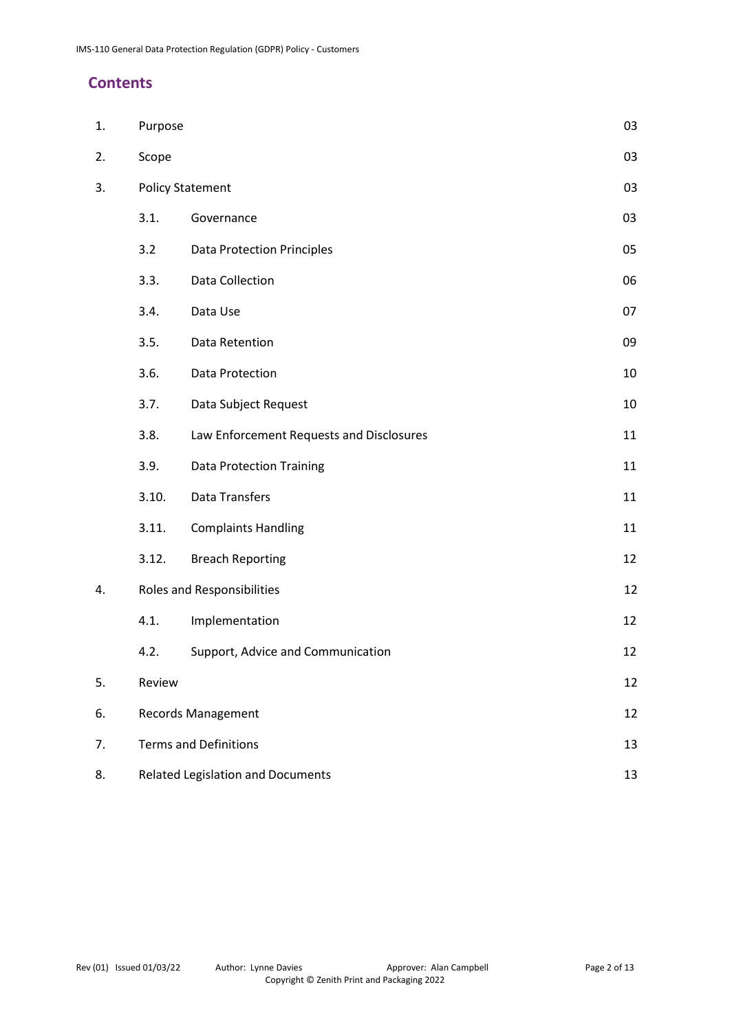# **Contents**

| 1. | Purpose                           |                                                | 03 |  |
|----|-----------------------------------|------------------------------------------------|----|--|
| 2. | Scope                             |                                                | 03 |  |
| 3. | <b>Policy Statement</b>           |                                                | 03 |  |
|    | 3.1.                              | Governance                                     | 03 |  |
|    | 3.2                               | <b>Data Protection Principles</b>              | 05 |  |
|    | 3.3.                              | <b>Data Collection</b>                         | 06 |  |
|    | 3.4.                              | Data Use                                       | 07 |  |
|    | 3.5.                              | Data Retention                                 | 09 |  |
|    | 3.6.                              | Data Protection                                | 10 |  |
|    | 3.7.                              | Data Subject Request                           | 10 |  |
|    | 3.8.                              | Law Enforcement Requests and Disclosures       | 11 |  |
|    | 3.9.                              | <b>Data Protection Training</b>                | 11 |  |
|    | 3.10.                             | <b>Data Transfers</b>                          | 11 |  |
|    | 3.11.                             | <b>Complaints Handling</b>                     | 11 |  |
|    | 3.12.                             | <b>Breach Reporting</b>                        | 12 |  |
| 4. | <b>Roles and Responsibilities</b> |                                                | 12 |  |
|    | 4.1.                              | Implementation                                 | 12 |  |
|    | 4.2.                              | Support, Advice and Communication              | 12 |  |
| 5. | Review                            |                                                | 12 |  |
| 6. | <b>Records Management</b><br>12   |                                                |    |  |
| 7. | <b>Terms and Definitions</b>      |                                                | 13 |  |
| 8. |                                   | <b>Related Legislation and Documents</b><br>13 |    |  |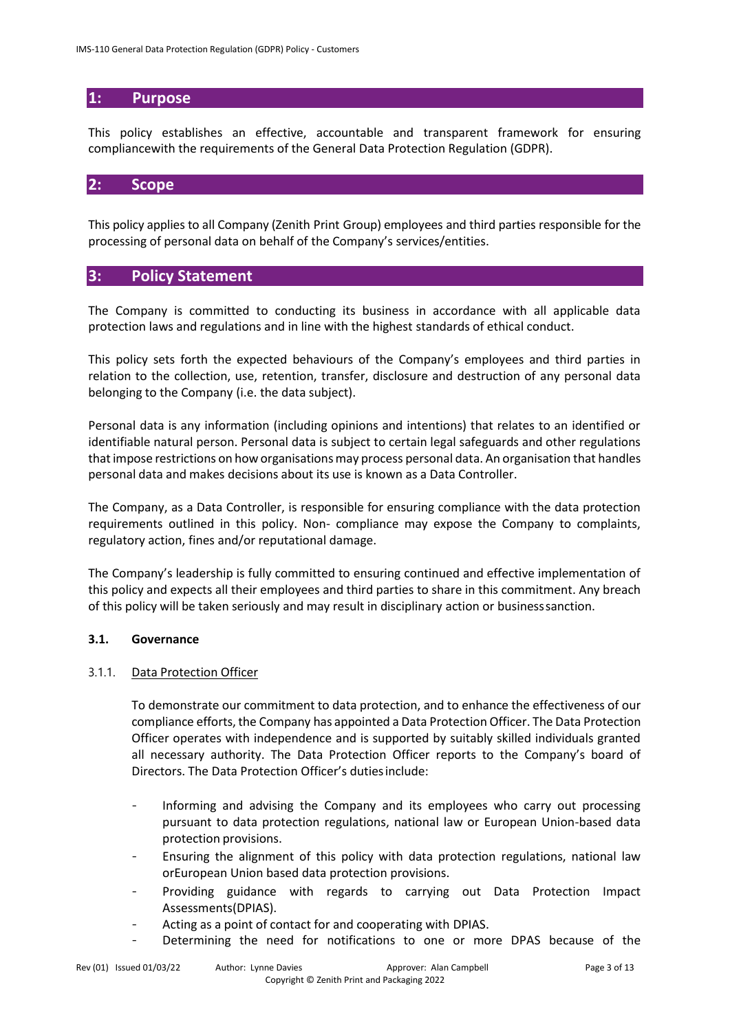# **1: Purpose**

This policy establishes an effective, accountable and transparent framework for ensuring compliancewith the requirements of the General Data Protection Regulation (GDPR).

# **2: Scope**

This policy applies to all Company (Zenith Print Group) employees and third parties responsible for the processing of personal data on behalf of the Company's services/entities.

# **3: Policy Statement**

The Company is committed to conducting its business in accordance with all applicable data protection laws and regulations and in line with the highest standards of ethical conduct.

This policy sets forth the expected behaviours of the Company's employees and third parties in relation to the collection, use, retention, transfer, disclosure and destruction of any personal data belonging to the Company (i.e. the data subject).

Personal data is any information (including opinions and intentions) that relates to an identified or identifiable natural person. Personal data is subject to certain legal safeguards and other regulations that impose restrictions on how organisations may process personal data. An organisation that handles personal data and makes decisions about its use is known as a Data Controller.

The Company, as a Data Controller, is responsible for ensuring compliance with the data protection requirements outlined in this policy. Non- compliance may expose the Company to complaints, regulatory action, fines and/or reputational damage.

The Company's leadership is fully committed to ensuring continued and effective implementation of this policy and expects all their employees and third parties to share in this commitment. Any breach of this policy will be taken seriously and may result in disciplinary action or businesssanction.

#### **3.1. Governance**

#### 3.1.1. Data Protection Officer

To demonstrate our commitment to data protection, and to enhance the effectiveness of our compliance efforts, the Company has appointed a Data Protection Officer. The Data Protection Officer operates with independence and is supported by suitably skilled individuals granted all necessary authority. The Data Protection Officer reports to the Company's board of Directors. The Data Protection Officer's dutiesinclude:

- Informing and advising the Company and its employees who carry out processing pursuant to data protection regulations, national law or European Union-based data protection provisions.
- Ensuring the alignment of this policy with data protection regulations, national law orEuropean Union based data protection provisions.
- Providing guidance with regards to carrying out Data Protection Impact Assessments(DPIAS).
- Acting as a point of contact for and cooperating with DPIAS.
- Determining the need for notifications to one or more DPAS because of the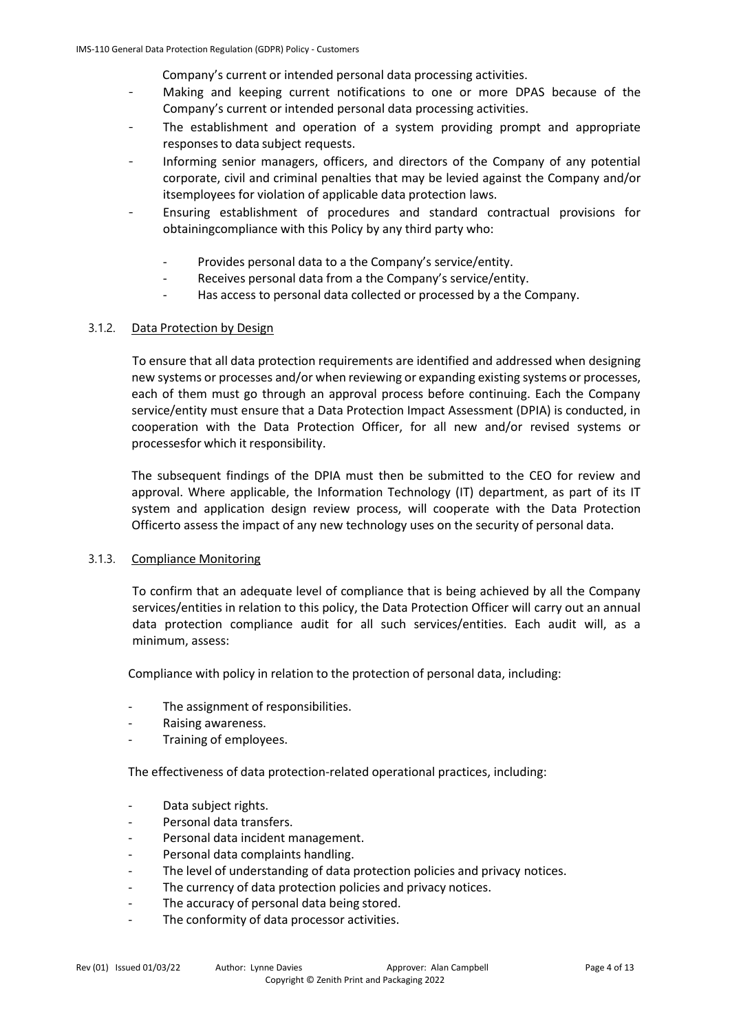Company's current or intended personal data processing activities.

- Making and keeping current notifications to one or more DPAS because of the Company's current or intended personal data processing activities.
- The establishment and operation of a system providing prompt and appropriate responses to data subject requests.
- Informing senior managers, officers, and directors of the Company of any potential corporate, civil and criminal penalties that may be levied against the Company and/or itsemployees for violation of applicable data protection laws.
- Ensuring establishment of procedures and standard contractual provisions for obtainingcompliance with this Policy by any third party who:
	- Provides personal data to a the Company's service/entity.
	- Receives personal data from a the Company's service/entity.
	- Has access to personal data collected or processed by a the Company.

#### 3.1.2. Data Protection by Design

To ensure that all data protection requirements are identified and addressed when designing new systems or processes and/or when reviewing or expanding existing systems or processes, each of them must go through an approval process before continuing. Each the Company service/entity must ensure that a Data Protection Impact Assessment (DPIA) is conducted, in cooperation with the Data Protection Officer, for all new and/or revised systems or processesfor which it responsibility.

The subsequent findings of the DPIA must then be submitted to the CEO for review and approval. Where applicable, the Information Technology (IT) department, as part of its IT system and application design review process, will cooperate with the Data Protection Officerto assess the impact of any new technology uses on the security of personal data.

#### 3.1.3. Compliance Monitoring

To confirm that an adequate level of compliance that is being achieved by all the Company services/entities in relation to this policy, the Data Protection Officer will carry out an annual data protection compliance audit for all such services/entities. Each audit will, as a minimum, assess:

Compliance with policy in relation to the protection of personal data, including:

- The assignment of responsibilities.
- Raising awareness.
- Training of employees.

The effectiveness of data protection-related operational practices, including:

- Data subject rights.
- Personal data transfers.
- Personal data incident management.
- Personal data complaints handling.
- The level of understanding of data protection policies and privacy notices.
- The currency of data protection policies and privacy notices.
- The accuracy of personal data being stored.
- The conformity of data processor activities.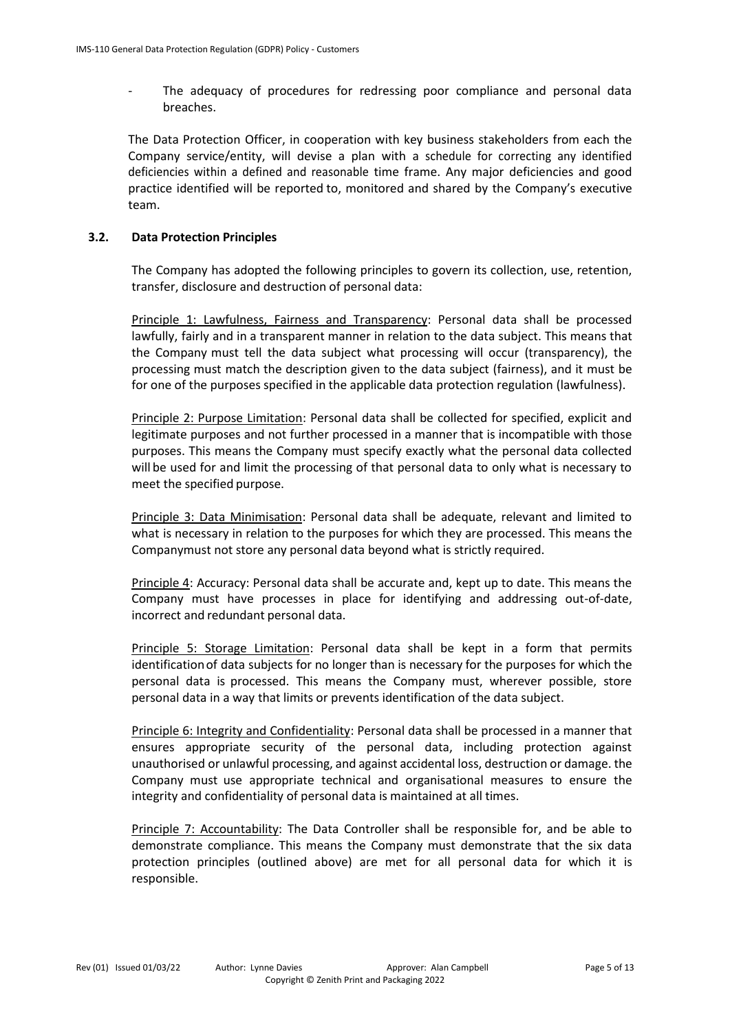- The adequacy of procedures for redressing poor compliance and personal data breaches.

The Data Protection Officer, in cooperation with key business stakeholders from each the Company service/entity, will devise a plan with a schedule for correcting any identified deficiencies within a defined and reasonable time frame. Any major deficiencies and good practice identified will be reported to, monitored and shared by the Company's executive team.

#### **3.2. Data Protection Principles**

The Company has adopted the following principles to govern its collection, use, retention, transfer, disclosure and destruction of personal data:

Principle 1: Lawfulness, Fairness and Transparency: Personal data shall be processed lawfully, fairly and in a transparent manner in relation to the data subject. This means that the Company must tell the data subject what processing will occur (transparency), the processing must match the description given to the data subject (fairness), and it must be for one of the purposes specified in the applicable data protection regulation (lawfulness).

Principle 2: Purpose Limitation: Personal data shall be collected for specified, explicit and legitimate purposes and not further processed in a manner that is incompatible with those purposes. This means the Company must specify exactly what the personal data collected will be used for and limit the processing of that personal data to only what is necessary to meet the specified purpose.

Principle 3: Data Minimisation: Personal data shall be adequate, relevant and limited to what is necessary in relation to the purposes for which they are processed. This means the Companymust not store any personal data beyond what is strictly required.

Principle 4: Accuracy: Personal data shall be accurate and, kept up to date. This means the Company must have processes in place for identifying and addressing out-of-date, incorrect and redundant personal data.

Principle 5: Storage Limitation: Personal data shall be kept in a form that permits identificationof data subjects for no longer than is necessary for the purposes for which the personal data is processed. This means the Company must, wherever possible, store personal data in a way that limits or prevents identification of the data subject.

Principle 6: Integrity and Confidentiality: Personal data shall be processed in a manner that ensures appropriate security of the personal data, including protection against unauthorised or unlawful processing, and against accidental loss, destruction or damage. the Company must use appropriate technical and organisational measures to ensure the integrity and confidentiality of personal data is maintained at all times.

Principle 7: Accountability: The Data Controller shall be responsible for, and be able to demonstrate compliance. This means the Company must demonstrate that the six data protection principles (outlined above) are met for all personal data for which it is responsible.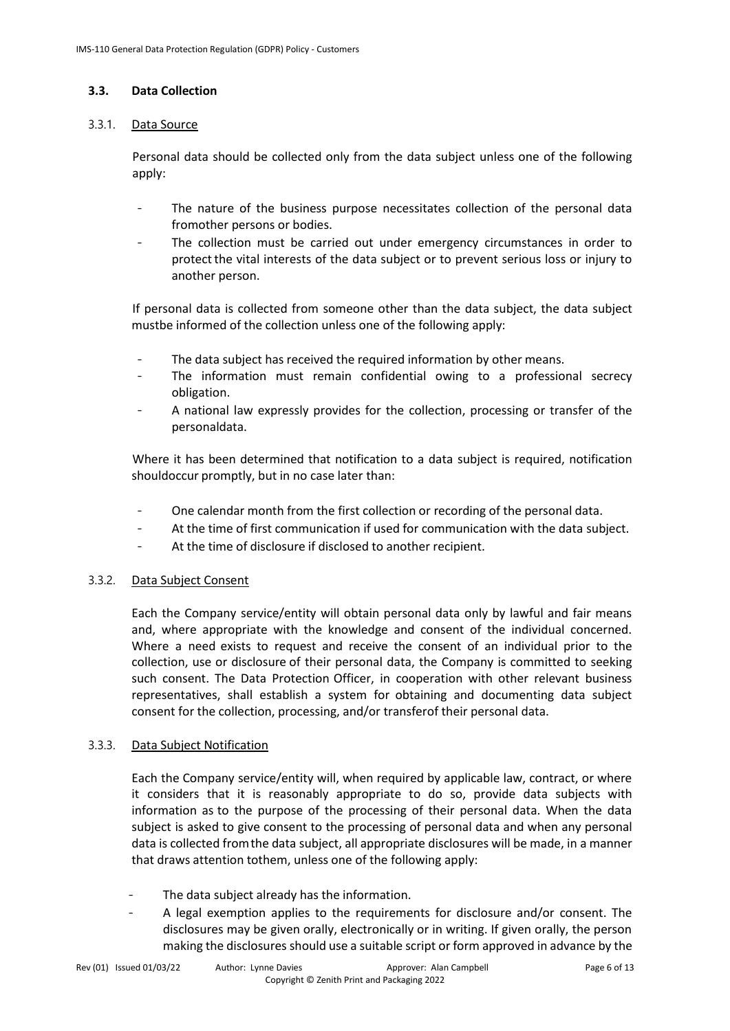#### **3.3. Data Collection**

#### 3.3.1. Data Source

Personal data should be collected only from the data subject unless one of the following apply:

- The nature of the business purpose necessitates collection of the personal data fromother persons or bodies.
- The collection must be carried out under emergency circumstances in order to protectthe vital interests of the data subject or to prevent serious loss or injury to another person.

If personal data is collected from someone other than the data subject, the data subject mustbe informed of the collection unless one of the following apply:

- The data subject has received the required information by other means.
- The information must remain confidential owing to a professional secrecy obligation.
- A national law expressly provides for the collection, processing or transfer of the personaldata.

Where it has been determined that notification to a data subject is required, notification shouldoccur promptly, but in no case later than:

- One calendar month from the first collection or recording of the personal data.
- At the time of first communication if used for communication with the data subject.
- At the time of disclosure if disclosed to another recipient.

#### 3.3.2. Data Subject Consent

Each the Company service/entity will obtain personal data only by lawful and fair means and, where appropriate with the knowledge and consent of the individual concerned. Where a need exists to request and receive the consent of an individual prior to the collection, use or disclosure of their personal data, the Company is committed to seeking such consent. The Data Protection Officer, in cooperation with other relevant business representatives, shall establish a system for obtaining and documenting data subject consent for the collection, processing, and/or transferof their personal data.

#### 3.3.3. Data Subject Notification

Each the Company service/entity will, when required by applicable law, contract, or where it considers that it is reasonably appropriate to do so, provide data subjects with information as to the purpose of the processing of their personal data. When the data subject is asked to give consent to the processing of personal data and when any personal data is collected fromthe data subject, all appropriate disclosures will be made, in a manner that draws attention tothem, unless one of the following apply:

- The data subject already has the information.
- A legal exemption applies to the requirements for disclosure and/or consent. The disclosures may be given orally, electronically or in writing. If given orally, the person making the disclosures should use a suitable script or form approved in advance by the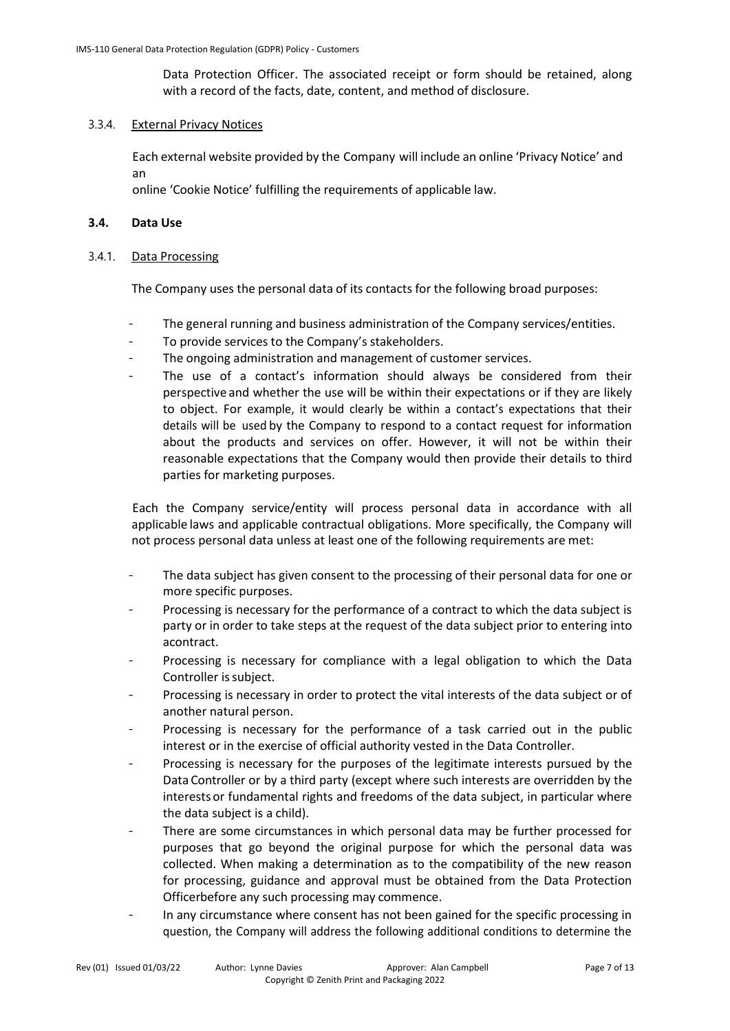Data Protection Officer. The associated receipt or form should be retained, along with a record of the facts, date, content, and method of disclosure.

#### 3.3.4. External Privacy Notices

Each external website provided by the Company will include an online 'Privacy Notice' and an

online 'Cookie Notice' fulfilling the requirements of applicable law.

#### **3.4. Data Use**

#### 3.4.1. Data Processing

The Company uses the personal data of its contacts for the following broad purposes:

- The general running and business administration of the Company services/entities.
- To provide services to the Company's stakeholders.
- The ongoing administration and management of customer services.
- The use of a contact's information should always be considered from their perspective and whether the use will be within their expectations or if they are likely to object. For example, it would clearly be within a contact's expectations that their details will be used by the Company to respond to a contact request for information about the products and services on offer. However, it will not be within their reasonable expectations that the Company would then provide their details to third parties for marketing purposes.

Each the Company service/entity will process personal data in accordance with all applicable laws and applicable contractual obligations. More specifically, the Company will not process personal data unless at least one of the following requirements are met:

- The data subject has given consent to the processing of their personal data for one or more specific purposes.
- Processing is necessary for the performance of a contract to which the data subject is party or in order to take steps at the request of the data subject prior to entering into acontract.
- Processing is necessary for compliance with a legal obligation to which the Data Controller is subject.
- Processing is necessary in order to protect the vital interests of the data subject or of another natural person.
- Processing is necessary for the performance of a task carried out in the public interest or in the exercise of official authority vested in the Data Controller.
- Processing is necessary for the purposes of the legitimate interests pursued by the Data Controller or by a third party (except where such interests are overridden by the interests or fundamental rights and freedoms of the data subject, in particular where the data subject is a child).
- There are some circumstances in which personal data may be further processed for purposes that go beyond the original purpose for which the personal data was collected. When making a determination as to the compatibility of the new reason for processing, guidance and approval must be obtained from the Data Protection Officerbefore any such processing may commence.
- In any circumstance where consent has not been gained for the specific processing in question, the Company will address the following additional conditions to determine the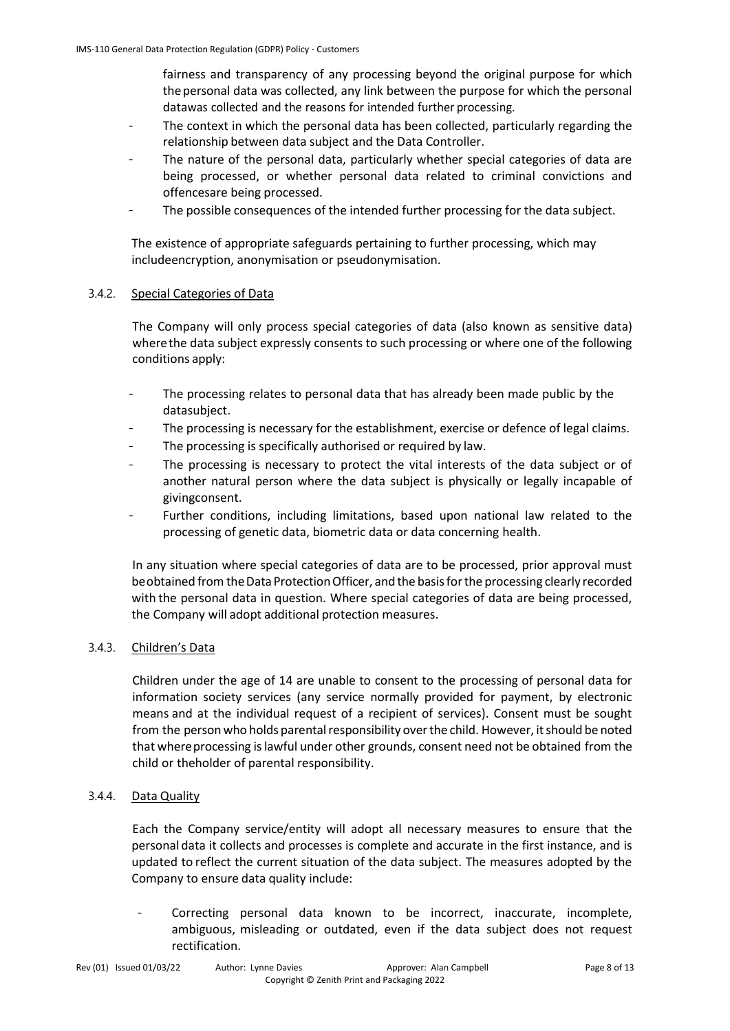fairness and transparency of any processing beyond the original purpose for which thepersonal data was collected, any link between the purpose for which the personal datawas collected and the reasons for intended further processing.

- The context in which the personal data has been collected, particularly regarding the relationship between data subject and the Data Controller.
- The nature of the personal data, particularly whether special categories of data are being processed, or whether personal data related to criminal convictions and offencesare being processed.
- The possible consequences of the intended further processing for the data subject.

The existence of appropriate safeguards pertaining to further processing, which may includeencryption, anonymisation or pseudonymisation.

#### 3.4.2. Special Categories of Data

The Company will only process special categories of data (also known as sensitive data) wherethe data subject expressly consents to such processing or where one of the following conditions apply:

- The processing relates to personal data that has already been made public by the datasubject.
- The processing is necessary for the establishment, exercise or defence of legal claims.
- The processing is specifically authorised or required by law.
- The processing is necessary to protect the vital interests of the data subject or of another natural person where the data subject is physically or legally incapable of givingconsent.
- Further conditions, including limitations, based upon national law related to the processing of genetic data, biometric data or data concerning health.

In any situation where special categories of data are to be processed, prior approval must be obtained from the Data Protection Officer, and the basis for the processing clearly recorded with the personal data in question. Where special categories of data are being processed, the Company will adopt additional protection measures.

#### 3.4.3. Children's Data

Children under the age of 14 are unable to consent to the processing of personal data for information society services (any service normally provided for payment, by electronic means and at the individual request of a recipient of services). Consent must be sought from the person who holds parental responsibility over the child. However, it should be noted that whereprocessing islawful under other grounds, consent need not be obtained from the child or theholder of parental responsibility.

#### 3.4.4. Data Quality

Each the Company service/entity will adopt all necessary measures to ensure that the personal data it collects and processes is complete and accurate in the first instance, and is updated to reflect the current situation of the data subject. The measures adopted by the Company to ensure data quality include:

Correcting personal data known to be incorrect, inaccurate, incomplete, ambiguous, misleading or outdated, even if the data subject does not request rectification.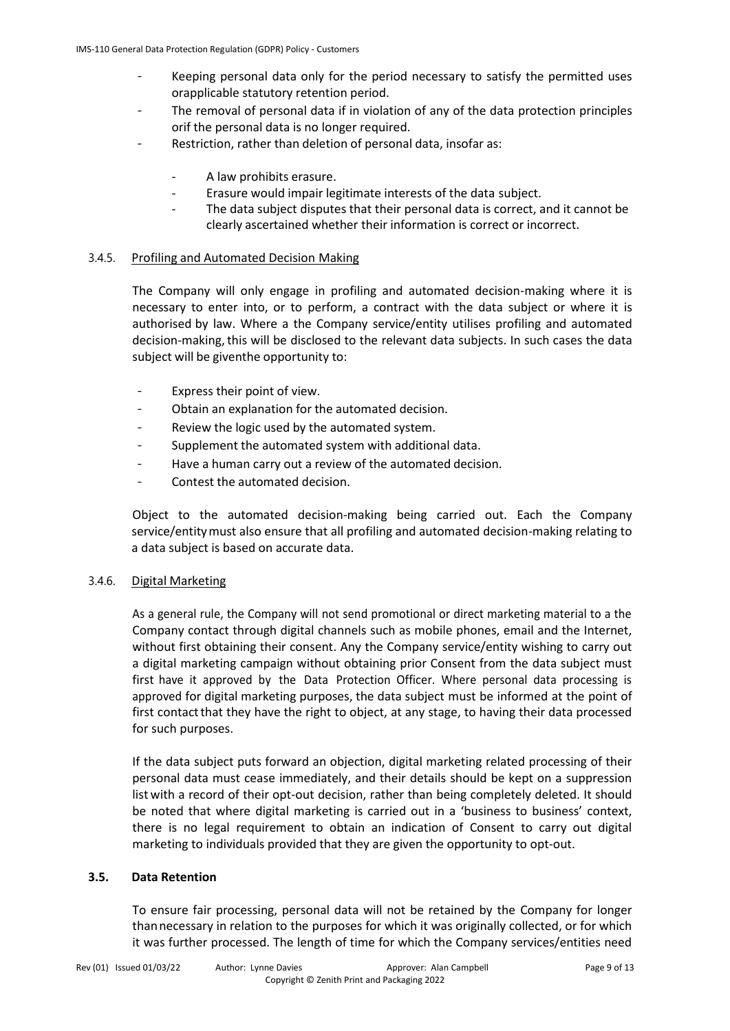- Keeping personal data only for the period necessary to satisfy the permitted uses orapplicable statutory retention period.
- The removal of personal data if in violation of any of the data protection principles orif the personal data is no longer required.
- Restriction, rather than deletion of personal data, insofar as:
	- A law prohibits erasure.
	- Erasure would impair legitimate interests of the data subject.
	- The data subject disputes that their personal data is correct, and it cannot be clearly ascertained whether their information is correct or incorrect.

#### 3.4.5. Profiling and Automated Decision Making

The Company will only engage in profiling and automated decision-making where it is necessary to enter into, or to perform, a contract with the data subject or where it is authorised by law. Where a the Company service/entity utilises profiling and automated decision-making, this will be disclosed to the relevant data subjects. In such cases the data subject will be giventhe opportunity to:

- Express their point of view.
- Obtain an explanation for the automated decision.
- Review the logic used by the automated system.
- Supplement the automated system with additional data.
- Have a human carry out a review of the automated decision.
- Contest the automated decision.

Object to the automated decision-making being carried out. Each the Company service/entitymust also ensure that all profiling and automated decision-making relating to a data subject is based on accurate data.

#### 3.4.6. Digital Marketing

As a general rule, the Company will not send promotional or direct marketing material to a the Company contact through digital channels such as mobile phones, email and the Internet, without first obtaining their consent. Any the Company service/entity wishing to carry out a digital marketing campaign without obtaining prior Consent from the data subject must first have it approved by the Data Protection Officer. Where personal data processing is approved for digital marketing purposes, the data subject must be informed at the point of first contact that they have the right to object, at any stage, to having their data processed for such purposes.

If the data subject puts forward an objection, digital marketing related processing of their personal data must cease immediately, and their details should be kept on a suppression list with a record of their opt-out decision, rather than being completely deleted. It should be noted that where digital marketing is carried out in a 'business to business' context, there is no legal requirement to obtain an indication of Consent to carry out digital marketing to individuals provided that they are given the opportunity to opt-out.

#### **3.5. Data Retention**

To ensure fair processing, personal data will not be retained by the Company for longer thannecessary in relation to the purposes for which it was originally collected, or for which it was further processed. The length of time for which the Company services/entities need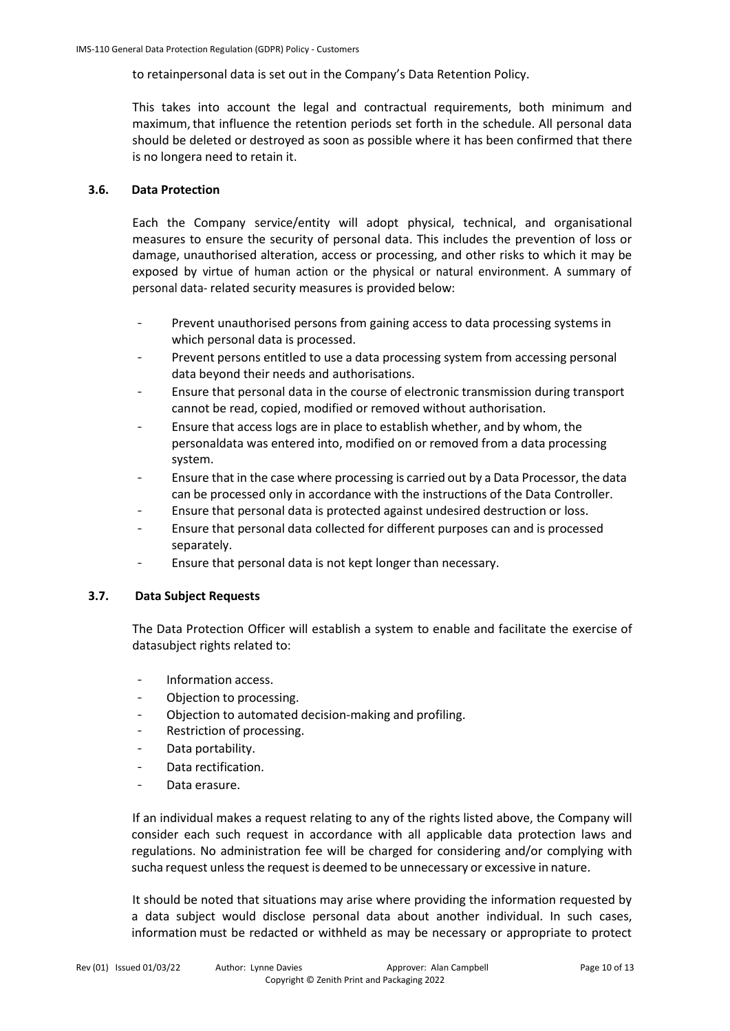to retainpersonal data is set out in the Company's Data Retention Policy.

This takes into account the legal and contractual requirements, both minimum and maximum,that influence the retention periods set forth in the schedule. All personal data should be deleted or destroyed as soon as possible where it has been confirmed that there is no longera need to retain it.

#### **3.6. Data Protection**

Each the Company service/entity will adopt physical, technical, and organisational measures to ensure the security of personal data. This includes the prevention of loss or damage, unauthorised alteration, access or processing, and other risks to which it may be exposed by virtue of human action or the physical or natural environment. A summary of personal data- related security measures is provided below:

- Prevent unauthorised persons from gaining access to data processing systems in which personal data is processed.
- Prevent persons entitled to use a data processing system from accessing personal data beyond their needs and authorisations.
- Ensure that personal data in the course of electronic transmission during transport cannot be read, copied, modified or removed without authorisation.
- Ensure that access logs are in place to establish whether, and by whom, the personaldata was entered into, modified on or removed from a data processing system.
- Ensure that in the case where processing is carried out by a Data Processor, the data can be processed only in accordance with the instructions of the Data Controller.
- Ensure that personal data is protected against undesired destruction or loss.
- Ensure that personal data collected for different purposes can and is processed separately.
- Ensure that personal data is not kept longer than necessary.

#### **3.7. Data Subject Requests**

The Data Protection Officer will establish a system to enable and facilitate the exercise of datasubject rights related to:

- Information access.
- Objection to processing.
- Objection to automated decision-making and profiling.
- Restriction of processing.
- Data portability.
- Data rectification.
- Data erasure.

If an individual makes a request relating to any of the rights listed above, the Company will consider each such request in accordance with all applicable data protection laws and regulations. No administration fee will be charged for considering and/or complying with sucha request unless the request is deemed to be unnecessary or excessive in nature.

It should be noted that situations may arise where providing the information requested by a data subject would disclose personal data about another individual. In such cases, information must be redacted or withheld as may be necessary or appropriate to protect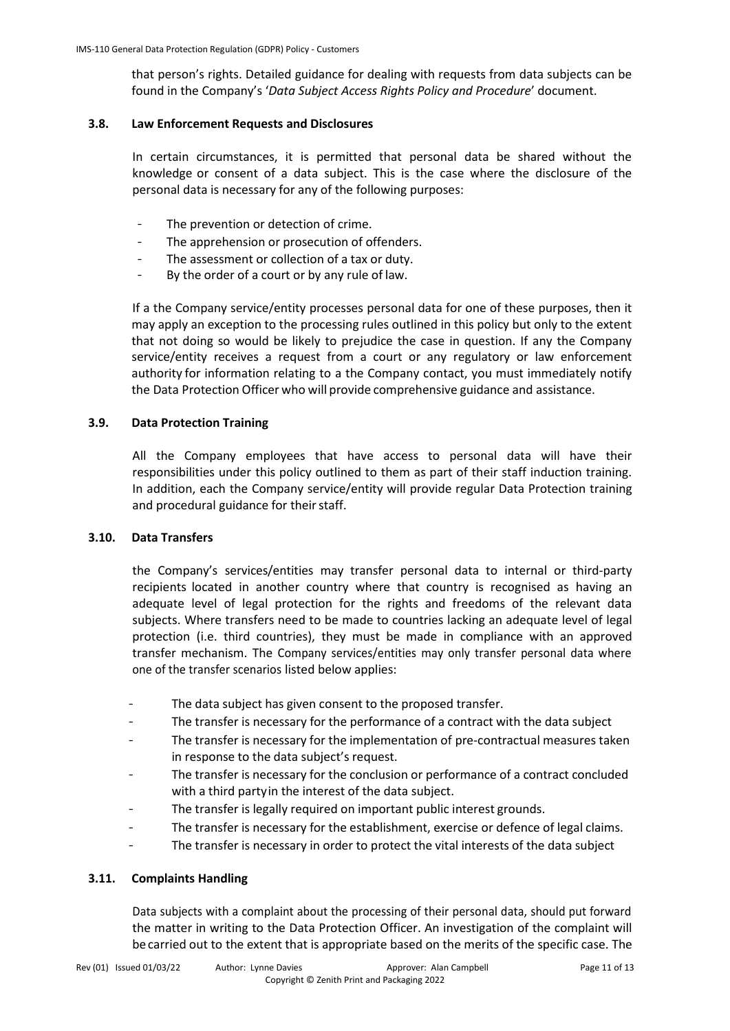that person's rights. Detailed guidance for dealing with requests from data subjects can be found in the Company's '*Data Subject Access Rights Policy and Procedure*' document.

#### **3.8. Law Enforcement Requests and Disclosures**

In certain circumstances, it is permitted that personal data be shared without the knowledge or consent of a data subject. This is the case where the disclosure of the personal data is necessary for any of the following purposes:

- The prevention or detection of crime.
- The apprehension or prosecution of offenders.
- The assessment or collection of a tax or duty.
- By the order of a court or by any rule of law.

If a the Company service/entity processes personal data for one of these purposes, then it may apply an exception to the processing rules outlined in this policy but only to the extent that not doing so would be likely to prejudice the case in question. If any the Company service/entity receives a request from a court or any regulatory or law enforcement authority for information relating to a the Company contact, you must immediately notify the Data Protection Officer who will provide comprehensive guidance and assistance.

#### **3.9. Data Protection Training**

All the Company employees that have access to personal data will have their responsibilities under this policy outlined to them as part of their staff induction training. In addition, each the Company service/entity will provide regular Data Protection training and procedural guidance for their staff.

#### **3.10. Data Transfers**

the Company's services/entities may transfer personal data to internal or third-party recipients located in another country where that country is recognised as having an adequate level of legal protection for the rights and freedoms of the relevant data subjects. Where transfers need to be made to countries lacking an adequate level of legal protection (i.e. third countries), they must be made in compliance with an approved transfer mechanism. The Company services/entities may only transfer personal data where one of the transfer scenarios listed below applies:

- The data subject has given consent to the proposed transfer.
- The transfer is necessary for the performance of a contract with the data subject
- The transfer is necessary for the implementation of pre-contractual measures taken in response to the data subject's request.
- The transfer is necessary for the conclusion or performance of a contract concluded with a third partyin the interest of the data subject.
- The transfer is legally required on important public interest grounds.
- The transfer is necessary for the establishment, exercise or defence of legal claims.
- The transfer is necessary in order to protect the vital interests of the data subject

#### **3.11. Complaints Handling**

Data subjects with a complaint about the processing of their personal data, should put forward the matter in writing to the Data Protection Officer. An investigation of the complaint will becarried out to the extent that is appropriate based on the merits of the specific case. The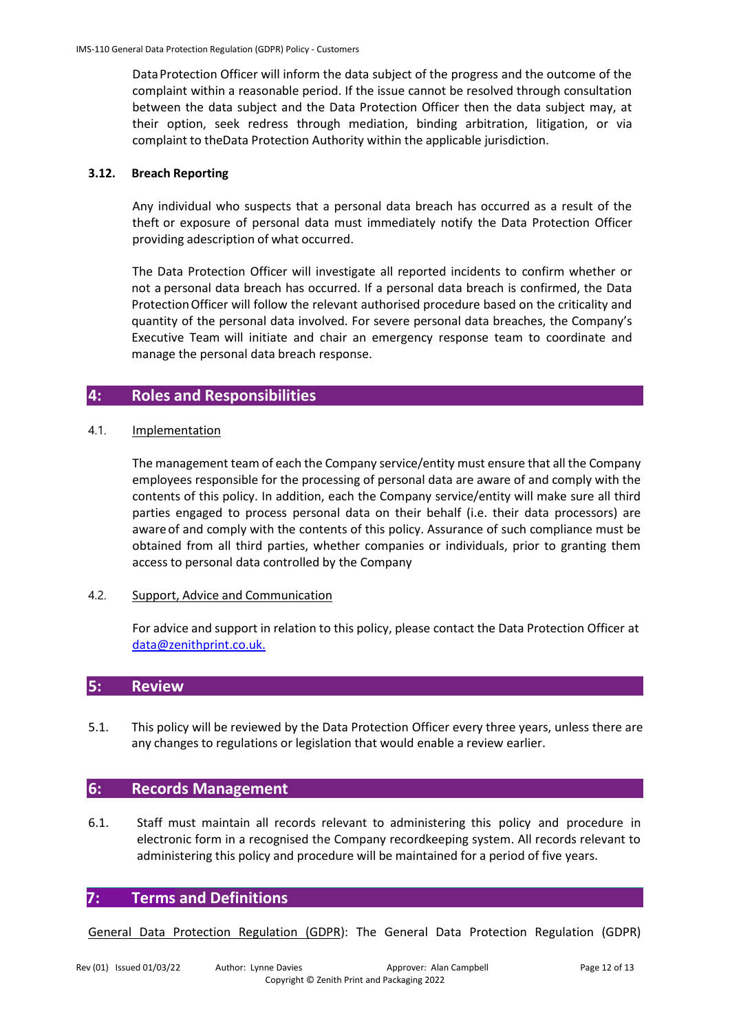DataProtection Officer will inform the data subject of the progress and the outcome of the complaint within a reasonable period. If the issue cannot be resolved through consultation between the data subject and the Data Protection Officer then the data subject may, at their option, seek redress through mediation, binding arbitration, litigation, or via complaint to theData Protection Authority within the applicable jurisdiction.

#### **3.12. Breach Reporting**

Any individual who suspects that a personal data breach has occurred as a result of the theft or exposure of personal data must immediately notify the Data Protection Officer providing adescription of what occurred.

The Data Protection Officer will investigate all reported incidents to confirm whether or not a personal data breach has occurred. If a personal data breach is confirmed, the Data ProtectionOfficer will follow the relevant authorised procedure based on the criticality and quantity of the personal data involved. For severe personal data breaches, the Company's Executive Team will initiate and chair an emergency response team to coordinate and manage the personal data breach response.

# **4: Roles and Responsibilities**

#### 4.1. Implementation

The management team of each the Company service/entity must ensure that all the Company employees responsible for the processing of personal data are aware of and comply with the contents of this policy. In addition, each the Company service/entity will make sure all third parties engaged to process personal data on their behalf (i.e. their data processors) are aware of and comply with the contents of this policy. Assurance of such compliance must be obtained from all third parties, whether companies or individuals, prior to granting them access to personal data controlled by the Company

#### 4.2. Support, Advice and Communication

For advice and support in relation to this policy, please contact the Data Protection Officer at [data@zenithprint.co.uk.](mailto:data@zenithprint.co.uk.)

#### **5: Review**

5.1. This policy will be reviewed by the Data Protection Officer every three years, unless there are any changes to regulations or legislation that would enable a review earlier.

# **6: Records Management**

6.1. Staff must maintain all records relevant to administering this policy and procedure in electronic form in a recognised the Company recordkeeping system. All records relevant to administering this policy and procedure will be maintained for a period of five years.

#### **7: Terms and Definitions**

General Data Protection Regulation (GDPR): The General Data Protection Regulation (GDPR)